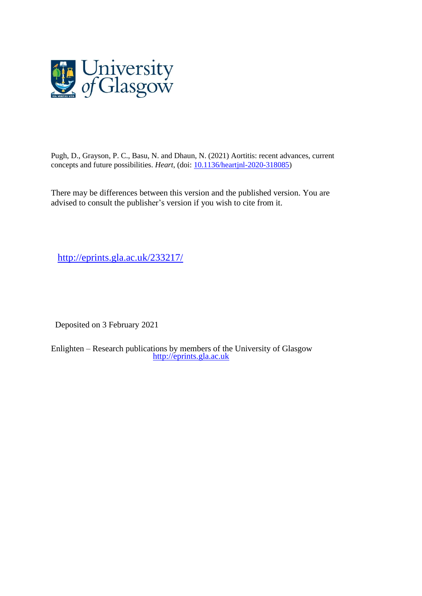

Pugh, D., Grayson, P. C., Basu, N. and Dhaun, N. (2021) Aortitis: recent advances, current concepts and future possibilities. *Heart*, (doi: [10.1136/heartjnl-2020-318085\)](http://dx.doi.org/10.1136/heartjnl-2020-318085)

There may be differences between this version and the published version. You are advised to consult the publisher's version if you wish to cite from it.

<http://eprints.gla.ac.uk/233217/>

Deposited on 3 February 2021

Enlighten – Research publications by members of the University of Glasgow [http://eprints.gla.ac.uk](http://eprints.gla.ac.uk/)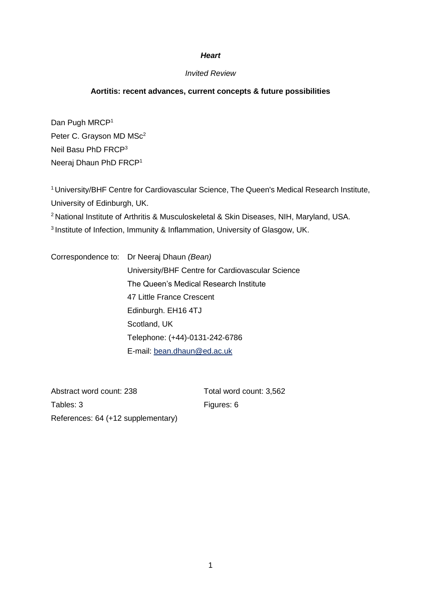## *Heart*

# *Invited Review*

# **Aortitis: recent advances, current concepts & future possibilities**

Dan Pugh MRCP<sup>1</sup> Peter C. Grayson MD MSc<sup>2</sup> Neil Basu PhD FRCP<sup>3</sup> Neeraj Dhaun PhD FRCP<sup>1</sup>

<sup>1</sup>University/BHF Centre for Cardiovascular Science, The Queen's Medical Research Institute, University of Edinburgh, UK. <sup>2</sup> National Institute of Arthritis & Musculoskeletal & Skin Diseases, NIH, Maryland, USA. 3 Institute of Infection, Immunity & Inflammation, University of Glasgow, UK.

Correspondence to: Dr Neeraj Dhaun *(Bean)* University/BHF Centre for Cardiovascular Science The Queen's Medical Research Institute 47 Little France Crescent Edinburgh. EH16 4TJ Scotland, UK Telephone: (+44)-0131-242-6786 E-mail: [bean.dhaun@ed.ac.uk](mailto:bean.dhaun@ed.ac.uk)

Abstract word count: 238 Total word count: 3,562 Tables: 3 Figures: 6 References: 64 (+12 supplementary)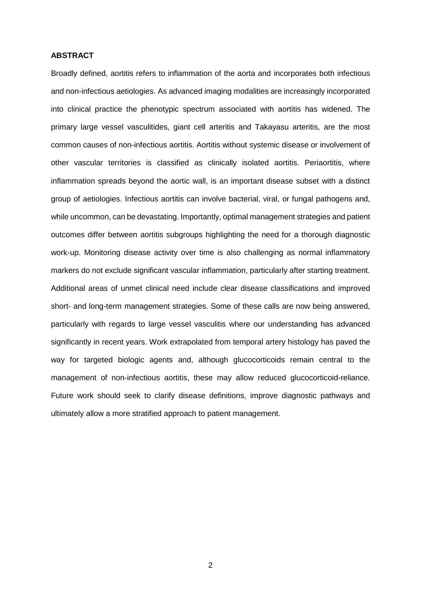## **ABSTRACT**

Broadly defined, aortitis refers to inflammation of the aorta and incorporates both infectious and non-infectious aetiologies. As advanced imaging modalities are increasingly incorporated into clinical practice the phenotypic spectrum associated with aortitis has widened. The primary large vessel vasculitides, giant cell arteritis and Takayasu arteritis, are the most common causes of non-infectious aortitis. Aortitis without systemic disease or involvement of other vascular territories is classified as clinically isolated aortitis. Periaortitis, where inflammation spreads beyond the aortic wall, is an important disease subset with a distinct group of aetiologies. Infectious aortitis can involve bacterial, viral, or fungal pathogens and, while uncommon, can be devastating. Importantly, optimal management strategies and patient outcomes differ between aortitis subgroups highlighting the need for a thorough diagnostic work-up. Monitoring disease activity over time is also challenging as normal inflammatory markers do not exclude significant vascular inflammation, particularly after starting treatment. Additional areas of unmet clinical need include clear disease classifications and improved short- and long-term management strategies. Some of these calls are now being answered, particularly with regards to large vessel vasculitis where our understanding has advanced significantly in recent years. Work extrapolated from temporal artery histology has paved the way for targeted biologic agents and, although glucocorticoids remain central to the management of non-infectious aortitis, these may allow reduced glucocorticoid-reliance. Future work should seek to clarify disease definitions, improve diagnostic pathways and ultimately allow a more stratified approach to patient management.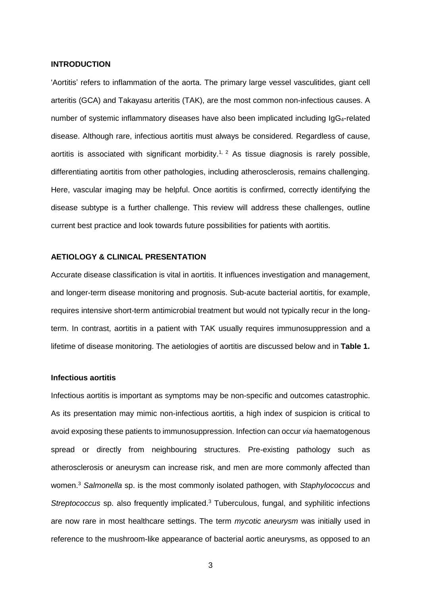#### **INTRODUCTION**

'Aortitis' refers to inflammation of the aorta. The primary large vessel vasculitides, giant cell arteritis (GCA) and Takayasu arteritis (TAK), are the most common non-infectious causes. A number of systemic inflammatory diseases have also been implicated including IgG<sub>4</sub>-related disease. Although rare, infectious aortitis must always be considered. Regardless of cause, aortitis is associated with significant morbidity.<sup>1, 2</sup> As tissue diagnosis is rarely possible, differentiating aortitis from other pathologies, including atherosclerosis, remains challenging. Here, vascular imaging may be helpful. Once aortitis is confirmed, correctly identifying the disease subtype is a further challenge. This review will address these challenges, outline current best practice and look towards future possibilities for patients with aortitis.

#### **AETIOLOGY & CLINICAL PRESENTATION**

Accurate disease classification is vital in aortitis. It influences investigation and management, and longer-term disease monitoring and prognosis. Sub-acute bacterial aortitis, for example, requires intensive short-term antimicrobial treatment but would not typically recur in the longterm. In contrast, aortitis in a patient with TAK usually requires immunosuppression and a lifetime of disease monitoring. The aetiologies of aortitis are discussed below and in **Table 1.**

#### **Infectious aortitis**

Infectious aortitis is important as symptoms may be non-specific and outcomes catastrophic. As its presentation may mimic non-infectious aortitis, a high index of suspicion is critical to avoid exposing these patients to immunosuppression. Infection can occur *via* haematogenous spread or directly from neighbouring structures. Pre-existing pathology such as atherosclerosis or aneurysm can increase risk, and men are more commonly affected than women.<sup>3</sup> *Salmonella* sp. is the most commonly isolated pathogen, with *Staphylococcus* and *Streptococcus* sp. also frequently implicated.<sup>3</sup> Tuberculous, fungal, and syphilitic infections are now rare in most healthcare settings. The term *mycotic aneurysm* was initially used in reference to the mushroom-like appearance of bacterial aortic aneurysms, as opposed to an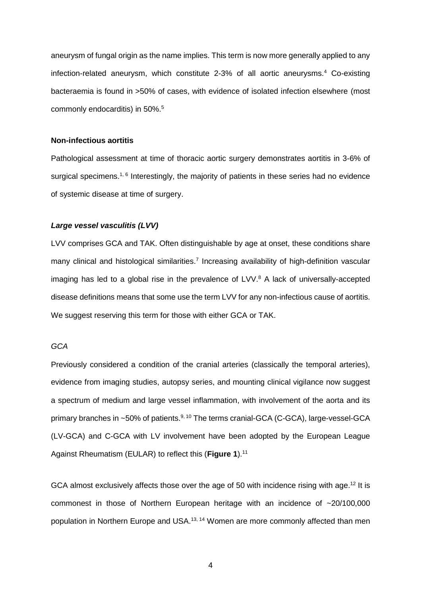aneurysm of fungal origin as the name implies. This term is now more generally applied to any infection-related aneurysm, which constitute 2-3% of all aortic aneurysms.<sup>4</sup> Co-existing bacteraemia is found in >50% of cases, with evidence of isolated infection elsewhere (most commonly endocarditis) in 50%.<sup>5</sup>

#### **Non-infectious aortitis**

Pathological assessment at time of thoracic aortic surgery demonstrates aortitis in 3-6% of surgical specimens.<sup>1, 6</sup> Interestingly, the majority of patients in these series had no evidence of systemic disease at time of surgery.

#### *Large vessel vasculitis (LVV)*

LVV comprises GCA and TAK. Often distinguishable by age at onset, these conditions share many clinical and histological similarities.<sup>7</sup> Increasing availability of high-definition vascular imaging has led to a global rise in the prevalence of LVV. <sup>8</sup> A lack of universally-accepted disease definitions means that some use the term LVV for any non-infectious cause of aortitis. We suggest reserving this term for those with either GCA or TAK.

# *GCA*

Previously considered a condition of the cranial arteries (classically the temporal arteries), evidence from imaging studies, autopsy series, and mounting clinical vigilance now suggest a spectrum of medium and large vessel inflammation, with involvement of the aorta and its primary branches in ~50% of patients.<sup>9, 10</sup> The terms cranial-GCA (C-GCA), large-vessel-GCA (LV-GCA) and C-GCA with LV involvement have been adopted by the European League Against Rheumatism (EULAR) to reflect this (**Figure 1**).<sup>11</sup>

GCA almost exclusively affects those over the age of 50 with incidence rising with age.<sup>12</sup> It is commonest in those of Northern European heritage with an incidence of ~20/100,000 population in Northern Europe and USA.<sup>13, 14</sup> Women are more commonly affected than men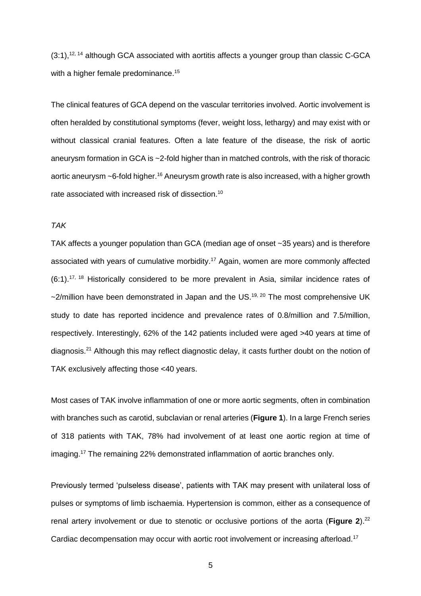$(3:1),$ <sup>12, 14</sup> although GCA associated with aortitis affects a younger group than classic C-GCA with a higher female predominance. 15

The clinical features of GCA depend on the vascular territories involved. Aortic involvement is often heralded by constitutional symptoms (fever, weight loss, lethargy) and may exist with or without classical cranial features. Often a late feature of the disease, the risk of aortic aneurysm formation in GCA is ~2-fold higher than in matched controls, with the risk of thoracic aortic aneurysm ~6-fold higher. $^{\text{16}}$  Aneurysm growth rate is also increased, with a higher growth rate associated with increased risk of dissection.<sup>10</sup>

#### *TAK*

TAK affects a younger population than GCA (median age of onset ~35 years) and is therefore associated with years of cumulative morbidity. <sup>17</sup> Again, women are more commonly affected  $(6:1).$ <sup>17, 18</sup> Historically considered to be more prevalent in Asia, similar incidence rates of ~2/million have been demonstrated in Japan and the US.<sup>19, 20</sup> The most comprehensive UK study to date has reported incidence and prevalence rates of 0.8/million and 7.5/million, respectively. Interestingly, 62% of the 142 patients included were aged >40 years at time of diagnosis.<sup>21</sup> Although this may reflect diagnostic delay, it casts further doubt on the notion of TAK exclusively affecting those <40 years.

Most cases of TAK involve inflammation of one or more aortic segments, often in combination with branches such as carotid, subclavian or renal arteries (**Figure 1**). In a large French series of 318 patients with TAK, 78% had involvement of at least one aortic region at time of imaging. <sup>17</sup> The remaining 22% demonstrated inflammation of aortic branches only.

Previously termed 'pulseless disease', patients with TAK may present with unilateral loss of pulses or symptoms of limb ischaemia. Hypertension is common, either as a consequence of renal artery involvement or due to stenotic or occlusive portions of the aorta (Figure 2).<sup>22</sup> Cardiac decompensation may occur with aortic root involvement or increasing afterload.<sup>17</sup>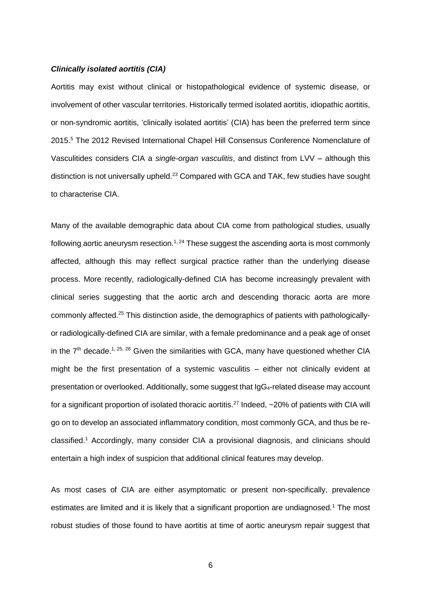#### *Clinically isolated aortitis (CIA)*

Aortitis may exist without clinical or histopathological evidence of systemic disease, or involvement of other vascular territories. Historically termed isolated aortitis, idiopathic aortitis, or non-syndromic aortitis, 'clinically isolated aortitis' (CIA) has been the preferred term since 2015. <sup>5</sup> The 2012 Revised International Chapel Hill Consensus Conference Nomenclature of Vasculitides considers CIA a *single-organ vasculitis*, and distinct from LVV – although this distinction is not universally upheld.<sup>23</sup> Compared with GCA and TAK, few studies have sought to characterise CIA.

Many of the available demographic data about CIA come from pathological studies, usually following aortic aneurysm resection.<sup>1, 24</sup> These suggest the ascending aorta is most commonly affected, although this may reflect surgical practice rather than the underlying disease process. More recently, radiologically-defined CIA has become increasingly prevalent with clinical series suggesting that the aortic arch and descending thoracic aorta are more commonly affected.<sup>25</sup> This distinction aside, the demographics of patients with pathologicallyor radiologically-defined CIA are similar, with a female predominance and a peak age of onset in the  $7<sup>th</sup>$  decade.<sup>1, 25, 26</sup> Given the similarities with GCA, many have questioned whether CIA might be the first presentation of a systemic vasculitis – either not clinically evident at presentation or overlooked. Additionally, some suggest that IgG4-related disease may account for a significant proportion of isolated thoracic aortitis.<sup>27</sup> Indeed, ~20% of patients with CIA will go on to develop an associated inflammatory condition, most commonly GCA, and thus be reclassified. <sup>1</sup> Accordingly, many consider CIA a provisional diagnosis, and clinicians should entertain a high index of suspicion that additional clinical features may develop.

As most cases of CIA are either asymptomatic or present non-specifically, prevalence estimates are limited and it is likely that a significant proportion are undiagnosed.<sup>1</sup> The most robust studies of those found to have aortitis at time of aortic aneurysm repair suggest that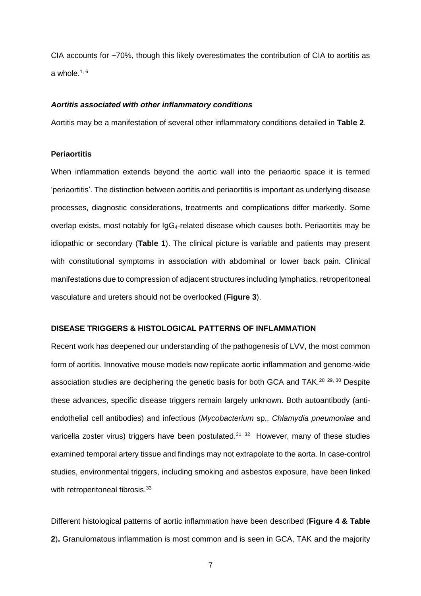CIA accounts for ~70%, though this likely overestimates the contribution of CIA to aortitis as a whole. $^{\rm 1,\,6}$ 

#### *Aortitis associated with other inflammatory conditions*

Aortitis may be a manifestation of several other inflammatory conditions detailed in **Table 2**.

# **Periaortitis**

When inflammation extends beyond the aortic wall into the periaortic space it is termed 'periaortitis'. The distinction between aortitis and periaortitis is important as underlying disease processes, diagnostic considerations, treatments and complications differ markedly. Some overlap exists, most notably for IgG4-related disease which causes both. Periaortitis may be idiopathic or secondary (**Table 1**). The clinical picture is variable and patients may present with constitutional symptoms in association with abdominal or lower back pain. Clinical manifestations due to compression of adjacent structures including lymphatics, retroperitoneal vasculature and ureters should not be overlooked (**Figure 3**).

#### **DISEASE TRIGGERS & HISTOLOGICAL PATTERNS OF INFLAMMATION**

Recent work has deepened our understanding of the pathogenesis of LVV, the most common form of aortitis. Innovative mouse models now replicate aortic inflammation and genome-wide association studies are deciphering the genetic basis for both GCA and TAK.<sup>28 29, 30</sup> Despite these advances, specific disease triggers remain largely unknown. Both autoantibody (antiendothelial cell antibodies) and infectious (*Mycobacterium* sp,, *Chlamydia pneumoniae* and varicella zoster virus) triggers have been postulated.<sup>31, 32</sup> However, many of these studies examined temporal artery tissue and findings may not extrapolate to the aorta. In case-control studies, environmental triggers, including smoking and asbestos exposure, have been linked with retroperitoneal fibrosis.<sup>33</sup>

Different histological patterns of aortic inflammation have been described (**Figure 4 & Table 2**)**.** Granulomatous inflammation is most common and is seen in GCA, TAK and the majority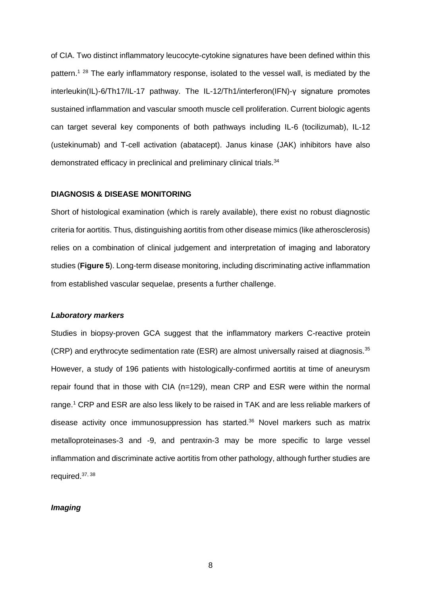of CIA. Two distinct inflammatory leucocyte-cytokine signatures have been defined within this pattern.<sup>1 28</sup> The early inflammatory response, isolated to the vessel wall, is mediated by the interleukin(IL)-6/Th17/IL-17 pathway. The IL-12/Th1/interferon(IFN)-γ signature promotes sustained inflammation and vascular smooth muscle cell proliferation. Current biologic agents can target several key components of both pathways including IL-6 (tocilizumab), IL-12 (ustekinumab) and T-cell activation (abatacept). Janus kinase (JAK) inhibitors have also demonstrated efficacy in preclinical and preliminary clinical trials.<sup>34</sup>

#### **DIAGNOSIS & DISEASE MONITORING**

Short of histological examination (which is rarely available), there exist no robust diagnostic criteria for aortitis. Thus, distinguishing aortitis from other disease mimics (like atherosclerosis) relies on a combination of clinical judgement and interpretation of imaging and laboratory studies (**Figure 5**). Long-term disease monitoring, including discriminating active inflammation from established vascular sequelae, presents a further challenge.

#### *Laboratory markers*

Studies in biopsy-proven GCA suggest that the inflammatory markers C-reactive protein (CRP) and erythrocyte sedimentation rate (ESR) are almost universally raised at diagnosis.<sup>35</sup> However, a study of 196 patients with histologically-confirmed aortitis at time of aneurysm repair found that in those with CIA (n=129), mean CRP and ESR were within the normal range. <sup>1</sup> CRP and ESR are also less likely to be raised in TAK and are less reliable markers of disease activity once immunosuppression has started. $36$  Novel markers such as matrix metalloproteinases-3 and -9, and pentraxin-3 may be more specific to large vessel inflammation and discriminate active aortitis from other pathology, although further studies are required.37, 38

## *Imaging*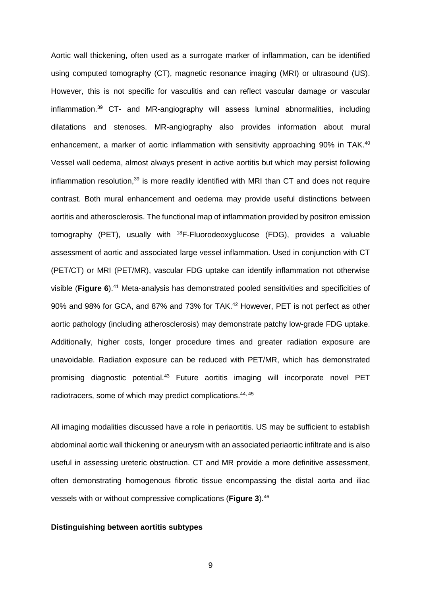Aortic wall thickening, often used as a surrogate marker of inflammation, can be identified using computed tomography (CT), magnetic resonance imaging (MRI) or ultrasound (US). However, this is not specific for vasculitis and can reflect vascular damage *or* vascular inflammation. <sup>39</sup> CT- and MR-angiography will assess luminal abnormalities, including dilatations and stenoses. MR-angiography also provides information about mural enhancement, a marker of aortic inflammation with sensitivity approaching 90% in TAK.<sup>40</sup> Vessel wall oedema, almost always present in active aortitis but which may persist following inflammation resolution,<sup>39</sup> is more readily identified with MRI than CT and does not require contrast. Both mural enhancement and oedema may provide useful distinctions between aortitis and atherosclerosis. The functional map of inflammation provided by positron emission tomography (PET), usually with <sup>18</sup>F-Fluorodeoxyglucose (FDG), provides a valuable assessment of aortic and associated large vessel inflammation. Used in conjunction with CT (PET/CT) or MRI (PET/MR), vascular FDG uptake can identify inflammation not otherwise visible (**Figure 6**). <sup>41</sup> Meta-analysis has demonstrated pooled sensitivities and specificities of 90% and 98% for GCA, and 87% and 73% for TAK.<sup>42</sup> However, PET is not perfect as other aortic pathology (including atherosclerosis) may demonstrate patchy low-grade FDG uptake. Additionally, higher costs, longer procedure times and greater radiation exposure are unavoidable. Radiation exposure can be reduced with PET/MR, which has demonstrated promising diagnostic potential.<sup>43</sup> Future aortitis imaging will incorporate novel PET radiotracers, some of which may predict complications.<sup>44, 45</sup>

All imaging modalities discussed have a role in periaortitis. US may be sufficient to establish abdominal aortic wall thickening or aneurysm with an associated periaortic infiltrate and is also useful in assessing ureteric obstruction. CT and MR provide a more definitive assessment, often demonstrating homogenous fibrotic tissue encompassing the distal aorta and iliac vessels with or without compressive complications (**Figure 3**).<sup>46</sup>

#### **Distinguishing between aortitis subtypes**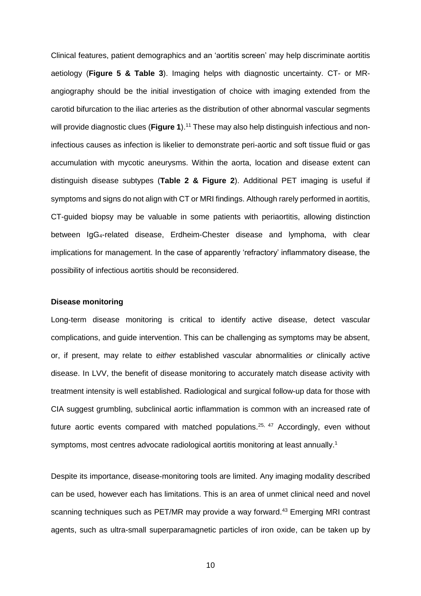Clinical features, patient demographics and an 'aortitis screen' may help discriminate aortitis aetiology (**Figure 5 & Table 3**). Imaging helps with diagnostic uncertainty. CT- or MRangiography should be the initial investigation of choice with imaging extended from the carotid bifurcation to the iliac arteries as the distribution of other abnormal vascular segments will provide diagnostic clues (**Figure 1**). <sup>11</sup> These may also help distinguish infectious and noninfectious causes as infection is likelier to demonstrate peri-aortic and soft tissue fluid or gas accumulation with mycotic aneurysms. Within the aorta, location and disease extent can distinguish disease subtypes (**Table 2 & Figure 2**). Additional PET imaging is useful if symptoms and signs do not align with CT or MRI findings. Although rarely performed in aortitis, CT-guided biopsy may be valuable in some patients with periaortitis, allowing distinction between IgG4-related disease, Erdheim-Chester disease and lymphoma, with clear implications for management. In the case of apparently 'refractory' inflammatory disease, the possibility of infectious aortitis should be reconsidered.

#### **Disease monitoring**

Long-term disease monitoring is critical to identify active disease, detect vascular complications, and guide intervention. This can be challenging as symptoms may be absent, or, if present, may relate to *either* established vascular abnormalities *or* clinically active disease. In LVV, the benefit of disease monitoring to accurately match disease activity with treatment intensity is well established. Radiological and surgical follow-up data for those with CIA suggest grumbling, subclinical aortic inflammation is common with an increased rate of future aortic events compared with matched populations.<sup>25, 47</sup> Accordingly, even without symptoms, most centres advocate radiological aortitis monitoring at least annually.<sup>1</sup>

Despite its importance, disease-monitoring tools are limited. Any imaging modality described can be used, however each has limitations. This is an area of unmet clinical need and novel scanning techniques such as PET/MR may provide a way forward.<sup>43</sup> Emerging MRI contrast agents, such as ultra-small superparamagnetic particles of iron oxide, can be taken up by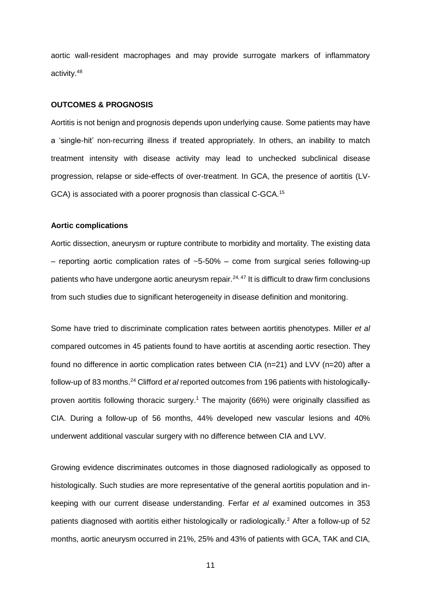aortic wall-resident macrophages and may provide surrogate markers of inflammatory activity.<sup>48</sup>

#### **OUTCOMES & PROGNOSIS**

Aortitis is not benign and prognosis depends upon underlying cause. Some patients may have a 'single-hit' non-recurring illness if treated appropriately. In others, an inability to match treatment intensity with disease activity may lead to unchecked subclinical disease progression, relapse or side-effects of over-treatment. In GCA, the presence of aortitis (LV-GCA) is associated with a poorer prognosis than classical C-GCA.<sup>15</sup>

#### **Aortic complications**

Aortic dissection, aneurysm or rupture contribute to morbidity and mortality. The existing data – reporting aortic complication rates of  $~5$ -50% – come from surgical series following-up patients who have undergone aortic aneurysm repair.<sup>24, 47</sup> It is difficult to draw firm conclusions from such studies due to significant heterogeneity in disease definition and monitoring.

Some have tried to discriminate complication rates between aortitis phenotypes. Miller *et al* compared outcomes in 45 patients found to have aortitis at ascending aortic resection. They found no difference in aortic complication rates between CIA (n=21) and LVV (n=20) after a follow-up of 83 months.<sup>24</sup> Clifford *et al* reported outcomes from 196 patients with histologicallyproven aortitis following thoracic surgery. <sup>1</sup> The majority (66%) were originally classified as CIA. During a follow-up of 56 months, 44% developed new vascular lesions and 40% underwent additional vascular surgery with no difference between CIA and LVV.

Growing evidence discriminates outcomes in those diagnosed radiologically as opposed to histologically. Such studies are more representative of the general aortitis population and inkeeping with our current disease understanding. Ferfar *et al* examined outcomes in 353 patients diagnosed with aortitis either histologically or radiologically.<sup>2</sup> After a follow-up of 52 months, aortic aneurysm occurred in 21%, 25% and 43% of patients with GCA, TAK and CIA,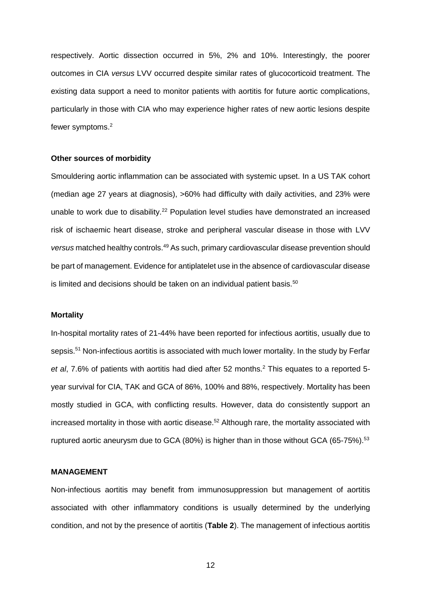respectively. Aortic dissection occurred in 5%, 2% and 10%. Interestingly, the poorer outcomes in CIA *versus* LVV occurred despite similar rates of glucocorticoid treatment. The existing data support a need to monitor patients with aortitis for future aortic complications, particularly in those with CIA who may experience higher rates of new aortic lesions despite fewer symptoms.<sup>2</sup>

#### **Other sources of morbidity**

Smouldering aortic inflammation can be associated with systemic upset. In a US TAK cohort (median age 27 years at diagnosis), >60% had difficulty with daily activities, and 23% were unable to work due to disability.<sup>22</sup> Population level studies have demonstrated an increased risk of ischaemic heart disease, stroke and peripheral vascular disease in those with LVV *versus* matched healthy controls. <sup>49</sup> As such, primary cardiovascular disease prevention should be part of management. Evidence for antiplatelet use in the absence of cardiovascular disease is limited and decisions should be taken on an individual patient basis.<sup>50</sup>

#### **Mortality**

In-hospital mortality rates of 21-44% have been reported for infectious aortitis, usually due to sepsis.<sup>51</sup> Non-infectious aortitis is associated with much lower mortality. In the study by Ferfar *et al*, 7.6% of patients with aortitis had died after 52 months.<sup>2</sup> This equates to a reported 5 year survival for CIA, TAK and GCA of 86%, 100% and 88%, respectively. Mortality has been mostly studied in GCA, with conflicting results. However, data do consistently support an increased mortality in those with aortic disease. <sup>52</sup> Although rare, the mortality associated with ruptured aortic aneurysm due to GCA (80%) is higher than in those without GCA (65-75%).<sup>53</sup>

# **MANAGEMENT**

Non-infectious aortitis may benefit from immunosuppression but management of aortitis associated with other inflammatory conditions is usually determined by the underlying condition, and not by the presence of aortitis (**Table 2**). The management of infectious aortitis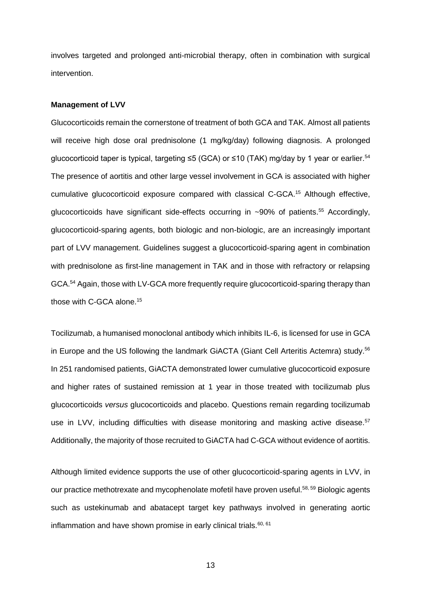involves targeted and prolonged anti-microbial therapy, often in combination with surgical intervention.

#### **Management of LVV**

Glucocorticoids remain the cornerstone of treatment of both GCA and TAK. Almost all patients will receive high dose oral prednisolone (1 mg/kg/day) following diagnosis. A prolonged glucocorticoid taper is typical, targeting ≤5 (GCA) or ≤10 (TAK) mg/day by 1 year or earlier. 54 The presence of aortitis and other large vessel involvement in GCA is associated with higher cumulative glucocorticoid exposure compared with classical C-GCA.<sup>15</sup> Although effective, glucocorticoids have significant side-effects occurring in ~90% of patients.<sup>55</sup> Accordingly, glucocorticoid-sparing agents, both biologic and non-biologic, are an increasingly important part of LVV management. Guidelines suggest a glucocorticoid-sparing agent in combination with prednisolone as first-line management in TAK and in those with refractory or relapsing GCA.<sup>54</sup> Again, those with LV-GCA more frequently require glucocorticoid-sparing therapy than those with C-GCA alone. 15

Tocilizumab, a humanised monoclonal antibody which inhibits IL-6, is licensed for use in GCA in Europe and the US following the landmark GiACTA (Giant Cell Arteritis Actemra) study.<sup>56</sup> In 251 randomised patients, GiACTA demonstrated lower cumulative glucocorticoid exposure and higher rates of sustained remission at 1 year in those treated with tocilizumab plus glucocorticoids *versus* glucocorticoids and placebo. Questions remain regarding tocilizumab use in LVV, including difficulties with disease monitoring and masking active disease.<sup>57</sup> Additionally, the majority of those recruited to GiACTA had C-GCA without evidence of aortitis.

Although limited evidence supports the use of other glucocorticoid-sparing agents in LVV, in our practice methotrexate and mycophenolate mofetil have proven useful.<sup>58, 59</sup> Biologic agents such as ustekinumab and abatacept target key pathways involved in generating aortic inflammation and have shown promise in early clinical trials. $60, 61$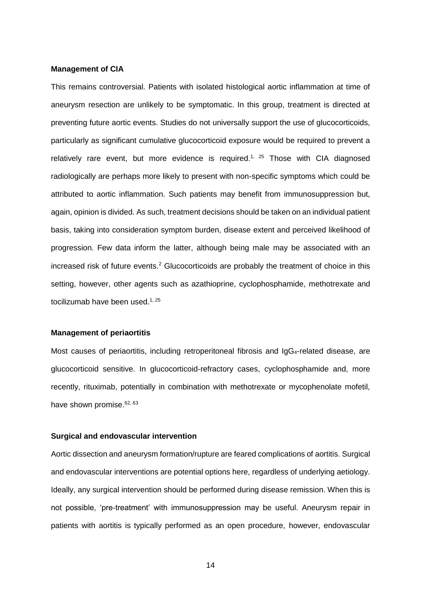#### **Management of CIA**

This remains controversial. Patients with isolated histological aortic inflammation at time of aneurysm resection are unlikely to be symptomatic. In this group, treatment is directed at preventing future aortic events. Studies do not universally support the use of glucocorticoids, particularly as significant cumulative glucocorticoid exposure would be required to prevent a relatively rare event, but more evidence is required.<sup>1, 25</sup> Those with CIA diagnosed radiologically are perhaps more likely to present with non-specific symptoms which could be attributed to aortic inflammation. Such patients may benefit from immunosuppression but, again, opinion is divided. As such, treatment decisions should be taken on an individual patient basis, taking into consideration symptom burden, disease extent and perceived likelihood of progression. Few data inform the latter, although being male may be associated with an increased risk of future events.<sup>2</sup> Glucocorticoids are probably the treatment of choice in this setting, however, other agents such as azathioprine, cyclophosphamide, methotrexate and tocilizumab have been used.<sup>1, 25</sup>

#### **Management of periaortitis**

Most causes of periaortitis, including retroperitoneal fibrosis and IgG<sub>4</sub>-related disease, are glucocorticoid sensitive. In glucocorticoid-refractory cases, cyclophosphamide and, more recently, rituximab, potentially in combination with methotrexate or mycophenolate mofetil, have shown promise.<sup>62, 63</sup>

# **Surgical and endovascular intervention**

Aortic dissection and aneurysm formation/rupture are feared complications of aortitis. Surgical and endovascular interventions are potential options here, regardless of underlying aetiology. Ideally, any surgical intervention should be performed during disease remission. When this is not possible, 'pre-treatment' with immunosuppression may be useful. Aneurysm repair in patients with aortitis is typically performed as an open procedure, however, endovascular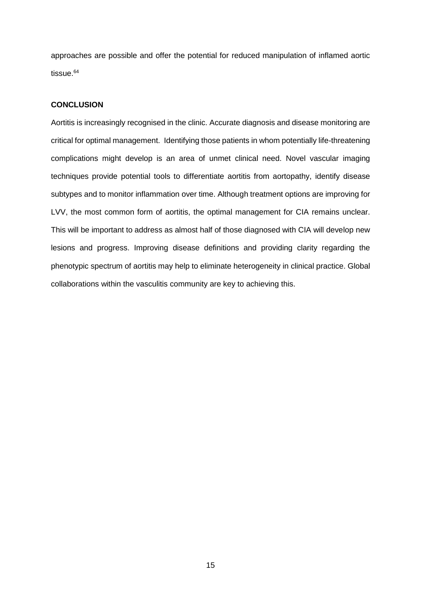approaches are possible and offer the potential for reduced manipulation of inflamed aortic tissue.<sup>64</sup>

# **CONCLUSION**

Aortitis is increasingly recognised in the clinic. Accurate diagnosis and disease monitoring are critical for optimal management. Identifying those patients in whom potentially life-threatening complications might develop is an area of unmet clinical need. Novel vascular imaging techniques provide potential tools to differentiate aortitis from aortopathy, identify disease subtypes and to monitor inflammation over time. Although treatment options are improving for LVV, the most common form of aortitis, the optimal management for CIA remains unclear. This will be important to address as almost half of those diagnosed with CIA will develop new lesions and progress. Improving disease definitions and providing clarity regarding the phenotypic spectrum of aortitis may help to eliminate heterogeneity in clinical practice. Global collaborations within the vasculitis community are key to achieving this.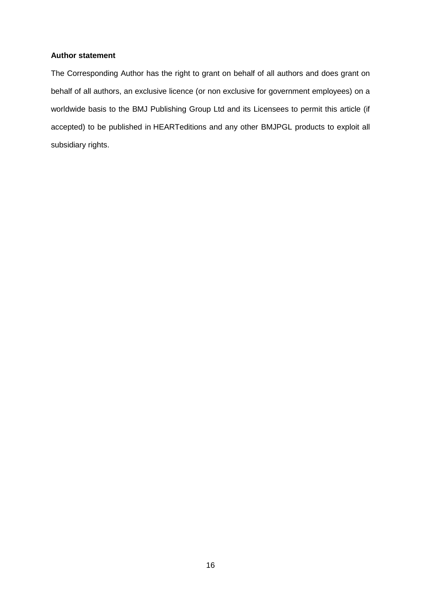# **Author statement**

The Corresponding Author has the right to grant on behalf of all authors and does grant on behalf of all authors, an exclusive licence (or non exclusive for government employees) on a worldwide basis to the BMJ Publishing Group Ltd and its Licensees to permit this article (if accepted) to be published in HEARTeditions and any other BMJPGL products to exploit all subsidiary rights.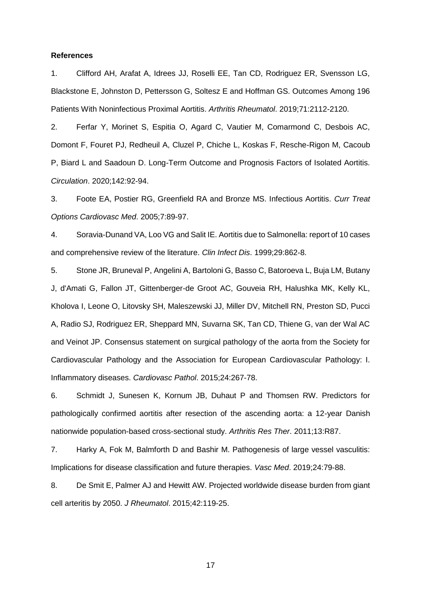#### **References**

1. Clifford AH, Arafat A, Idrees JJ, Roselli EE, Tan CD, Rodriguez ER, Svensson LG, Blackstone E, Johnston D, Pettersson G, Soltesz E and Hoffman GS. Outcomes Among 196 Patients With Noninfectious Proximal Aortitis. *Arthritis Rheumatol*. 2019;71:2112-2120.

2. Ferfar Y, Morinet S, Espitia O, Agard C, Vautier M, Comarmond C, Desbois AC, Domont F, Fouret PJ, Redheuil A, Cluzel P, Chiche L, Koskas F, Resche-Rigon M, Cacoub P, Biard L and Saadoun D. Long-Term Outcome and Prognosis Factors of Isolated Aortitis. *Circulation*. 2020;142:92-94.

3. Foote EA, Postier RG, Greenfield RA and Bronze MS. Infectious Aortitis. *Curr Treat Options Cardiovasc Med*. 2005;7:89-97.

4. Soravia-Dunand VA, Loo VG and Salit IE. Aortitis due to Salmonella: report of 10 cases and comprehensive review of the literature. *Clin Infect Dis*. 1999;29:862-8.

5. Stone JR, Bruneval P, Angelini A, Bartoloni G, Basso C, Batoroeva L, Buja LM, Butany J, d'Amati G, Fallon JT, Gittenberger-de Groot AC, Gouveia RH, Halushka MK, Kelly KL, Kholova I, Leone O, Litovsky SH, Maleszewski JJ, Miller DV, Mitchell RN, Preston SD, Pucci A, Radio SJ, Rodriguez ER, Sheppard MN, Suvarna SK, Tan CD, Thiene G, van der Wal AC and Veinot JP. Consensus statement on surgical pathology of the aorta from the Society for Cardiovascular Pathology and the Association for European Cardiovascular Pathology: I. Inflammatory diseases. *Cardiovasc Pathol*. 2015;24:267-78.

6. Schmidt J, Sunesen K, Kornum JB, Duhaut P and Thomsen RW. Predictors for pathologically confirmed aortitis after resection of the ascending aorta: a 12-year Danish nationwide population-based cross-sectional study. *Arthritis Res Ther*. 2011;13:R87.

7. Harky A, Fok M, Balmforth D and Bashir M. Pathogenesis of large vessel vasculitis: Implications for disease classification and future therapies. *Vasc Med*. 2019;24:79-88.

8. De Smit E, Palmer AJ and Hewitt AW. Projected worldwide disease burden from giant cell arteritis by 2050. *J Rheumatol*. 2015;42:119-25.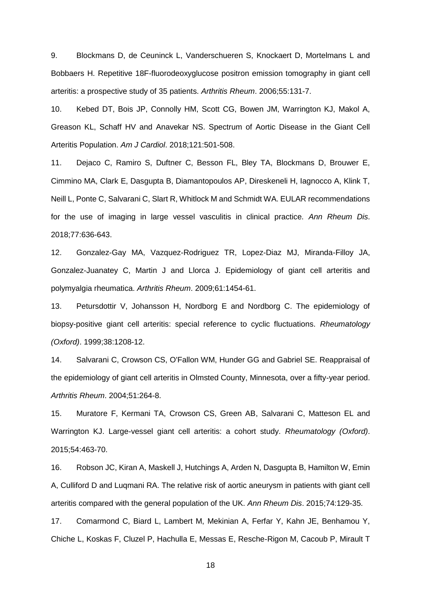9. Blockmans D, de Ceuninck L, Vanderschueren S, Knockaert D, Mortelmans L and Bobbaers H. Repetitive 18F-fluorodeoxyglucose positron emission tomography in giant cell arteritis: a prospective study of 35 patients. *Arthritis Rheum*. 2006;55:131-7.

10. Kebed DT, Bois JP, Connolly HM, Scott CG, Bowen JM, Warrington KJ, Makol A, Greason KL, Schaff HV and Anavekar NS. Spectrum of Aortic Disease in the Giant Cell Arteritis Population. *Am J Cardiol*. 2018;121:501-508.

11. Dejaco C, Ramiro S, Duftner C, Besson FL, Bley TA, Blockmans D, Brouwer E, Cimmino MA, Clark E, Dasgupta B, Diamantopoulos AP, Direskeneli H, Iagnocco A, Klink T, Neill L, Ponte C, Salvarani C, Slart R, Whitlock M and Schmidt WA. EULAR recommendations for the use of imaging in large vessel vasculitis in clinical practice. *Ann Rheum Dis*. 2018;77:636-643.

12. Gonzalez-Gay MA, Vazquez-Rodriguez TR, Lopez-Diaz MJ, Miranda-Filloy JA, Gonzalez-Juanatey C, Martin J and Llorca J. Epidemiology of giant cell arteritis and polymyalgia rheumatica. *Arthritis Rheum*. 2009;61:1454-61.

13. Petursdottir V, Johansson H, Nordborg E and Nordborg C. The epidemiology of biopsy-positive giant cell arteritis: special reference to cyclic fluctuations. *Rheumatology (Oxford)*. 1999;38:1208-12.

14. Salvarani C, Crowson CS, O'Fallon WM, Hunder GG and Gabriel SE. Reappraisal of the epidemiology of giant cell arteritis in Olmsted County, Minnesota, over a fifty-year period. *Arthritis Rheum*. 2004;51:264-8.

15. Muratore F, Kermani TA, Crowson CS, Green AB, Salvarani C, Matteson EL and Warrington KJ. Large-vessel giant cell arteritis: a cohort study. *Rheumatology (Oxford)*. 2015;54:463-70.

16. Robson JC, Kiran A, Maskell J, Hutchings A, Arden N, Dasgupta B, Hamilton W, Emin A, Culliford D and Luqmani RA. The relative risk of aortic aneurysm in patients with giant cell arteritis compared with the general population of the UK. *Ann Rheum Dis*. 2015;74:129-35.

17. Comarmond C, Biard L, Lambert M, Mekinian A, Ferfar Y, Kahn JE, Benhamou Y, Chiche L, Koskas F, Cluzel P, Hachulla E, Messas E, Resche-Rigon M, Cacoub P, Mirault T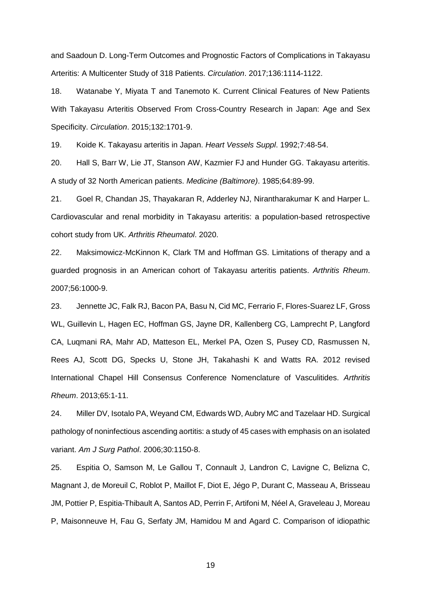and Saadoun D. Long-Term Outcomes and Prognostic Factors of Complications in Takayasu Arteritis: A Multicenter Study of 318 Patients. *Circulation*. 2017;136:1114-1122.

18. Watanabe Y, Miyata T and Tanemoto K. Current Clinical Features of New Patients With Takayasu Arteritis Observed From Cross-Country Research in Japan: Age and Sex Specificity. *Circulation*. 2015;132:1701-9.

19. Koide K. Takayasu arteritis in Japan. *Heart Vessels Suppl*. 1992;7:48-54.

20. Hall S, Barr W, Lie JT, Stanson AW, Kazmier FJ and Hunder GG. Takayasu arteritis. A study of 32 North American patients. *Medicine (Baltimore)*. 1985;64:89-99.

21. Goel R, Chandan JS, Thayakaran R, Adderley NJ, Nirantharakumar K and Harper L. Cardiovascular and renal morbidity in Takayasu arteritis: a population-based retrospective cohort study from UK. *Arthritis Rheumatol*. 2020.

22. Maksimowicz-McKinnon K, Clark TM and Hoffman GS. Limitations of therapy and a guarded prognosis in an American cohort of Takayasu arteritis patients. *Arthritis Rheum*. 2007;56:1000-9.

23. Jennette JC, Falk RJ, Bacon PA, Basu N, Cid MC, Ferrario F, Flores-Suarez LF, Gross WL, Guillevin L, Hagen EC, Hoffman GS, Jayne DR, Kallenberg CG, Lamprecht P, Langford CA, Luqmani RA, Mahr AD, Matteson EL, Merkel PA, Ozen S, Pusey CD, Rasmussen N, Rees AJ, Scott DG, Specks U, Stone JH, Takahashi K and Watts RA. 2012 revised International Chapel Hill Consensus Conference Nomenclature of Vasculitides. *Arthritis Rheum*. 2013;65:1-11.

24. Miller DV, Isotalo PA, Weyand CM, Edwards WD, Aubry MC and Tazelaar HD. Surgical pathology of noninfectious ascending aortitis: a study of 45 cases with emphasis on an isolated variant. *Am J Surg Pathol*. 2006;30:1150-8.

25. Espitia O, Samson M, Le Gallou T, Connault J, Landron C, Lavigne C, Belizna C, Magnant J, de Moreuil C, Roblot P, Maillot F, Diot E, Jégo P, Durant C, Masseau A, Brisseau JM, Pottier P, Espitia-Thibault A, Santos AD, Perrin F, Artifoni M, Néel A, Graveleau J, Moreau P, Maisonneuve H, Fau G, Serfaty JM, Hamidou M and Agard C. Comparison of idiopathic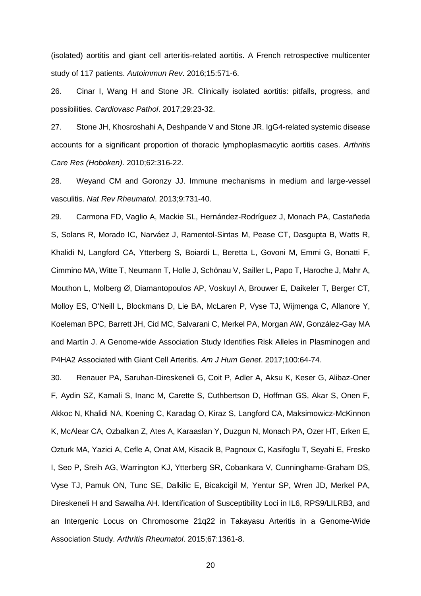(isolated) aortitis and giant cell arteritis-related aortitis. A French retrospective multicenter study of 117 patients. *Autoimmun Rev*. 2016;15:571-6.

26. Cinar I, Wang H and Stone JR. Clinically isolated aortitis: pitfalls, progress, and possibilities. *Cardiovasc Pathol*. 2017;29:23-32.

27. Stone JH, Khosroshahi A, Deshpande V and Stone JR. IgG4-related systemic disease accounts for a significant proportion of thoracic lymphoplasmacytic aortitis cases. *Arthritis Care Res (Hoboken)*. 2010;62:316-22.

28. Weyand CM and Goronzy JJ. Immune mechanisms in medium and large-vessel vasculitis. *Nat Rev Rheumatol*. 2013;9:731-40.

29. Carmona FD, Vaglio A, Mackie SL, Hernández-Rodríguez J, Monach PA, Castañeda S, Solans R, Morado IC, Narváez J, Ramentol-Sintas M, Pease CT, Dasgupta B, Watts R, Khalidi N, Langford CA, Ytterberg S, Boiardi L, Beretta L, Govoni M, Emmi G, Bonatti F, Cimmino MA, Witte T, Neumann T, Holle J, Schönau V, Sailler L, Papo T, Haroche J, Mahr A, Mouthon L, Molberg Ø, Diamantopoulos AP, Voskuyl A, Brouwer E, Daikeler T, Berger CT, Molloy ES, O'Neill L, Blockmans D, Lie BA, McLaren P, Vyse TJ, Wijmenga C, Allanore Y, Koeleman BPC, Barrett JH, Cid MC, Salvarani C, Merkel PA, Morgan AW, González-Gay MA and Martín J. A Genome-wide Association Study Identifies Risk Alleles in Plasminogen and P4HA2 Associated with Giant Cell Arteritis. *Am J Hum Genet*. 2017;100:64-74.

30. Renauer PA, Saruhan-Direskeneli G, Coit P, Adler A, Aksu K, Keser G, Alibaz-Oner F, Aydin SZ, Kamali S, Inanc M, Carette S, Cuthbertson D, Hoffman GS, Akar S, Onen F, Akkoc N, Khalidi NA, Koening C, Karadag O, Kiraz S, Langford CA, Maksimowicz-McKinnon K, McAlear CA, Ozbalkan Z, Ates A, Karaaslan Y, Duzgun N, Monach PA, Ozer HT, Erken E, Ozturk MA, Yazici A, Cefle A, Onat AM, Kisacik B, Pagnoux C, Kasifoglu T, Seyahi E, Fresko I, Seo P, Sreih AG, Warrington KJ, Ytterberg SR, Cobankara V, Cunninghame-Graham DS, Vyse TJ, Pamuk ON, Tunc SE, Dalkilic E, Bicakcigil M, Yentur SP, Wren JD, Merkel PA, Direskeneli H and Sawalha AH. Identification of Susceptibility Loci in IL6, RPS9/LILRB3, and an Intergenic Locus on Chromosome 21q22 in Takayasu Arteritis in a Genome-Wide Association Study. *Arthritis Rheumatol*. 2015;67:1361-8.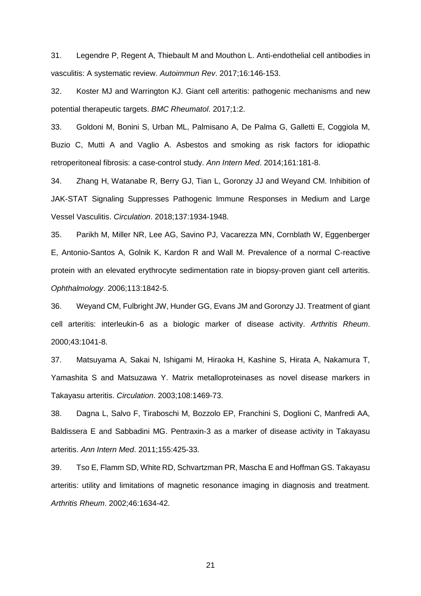31. Legendre P, Regent A, Thiebault M and Mouthon L. Anti-endothelial cell antibodies in vasculitis: A systematic review. *Autoimmun Rev*. 2017;16:146-153.

32. Koster MJ and Warrington KJ. Giant cell arteritis: pathogenic mechanisms and new potential therapeutic targets. *BMC Rheumatol*. 2017;1:2.

33. Goldoni M, Bonini S, Urban ML, Palmisano A, De Palma G, Galletti E, Coggiola M, Buzio C, Mutti A and Vaglio A. Asbestos and smoking as risk factors for idiopathic retroperitoneal fibrosis: a case-control study. *Ann Intern Med*. 2014;161:181-8.

34. Zhang H, Watanabe R, Berry GJ, Tian L, Goronzy JJ and Weyand CM. Inhibition of JAK-STAT Signaling Suppresses Pathogenic Immune Responses in Medium and Large Vessel Vasculitis. *Circulation*. 2018;137:1934-1948.

35. Parikh M, Miller NR, Lee AG, Savino PJ, Vacarezza MN, Cornblath W, Eggenberger E, Antonio-Santos A, Golnik K, Kardon R and Wall M. Prevalence of a normal C-reactive protein with an elevated erythrocyte sedimentation rate in biopsy-proven giant cell arteritis. *Ophthalmology*. 2006;113:1842-5.

36. Weyand CM, Fulbright JW, Hunder GG, Evans JM and Goronzy JJ. Treatment of giant cell arteritis: interleukin-6 as a biologic marker of disease activity. *Arthritis Rheum*. 2000;43:1041-8.

37. Matsuyama A, Sakai N, Ishigami M, Hiraoka H, Kashine S, Hirata A, Nakamura T, Yamashita S and Matsuzawa Y. Matrix metalloproteinases as novel disease markers in Takayasu arteritis. *Circulation*. 2003;108:1469-73.

38. Dagna L, Salvo F, Tiraboschi M, Bozzolo EP, Franchini S, Doglioni C, Manfredi AA, Baldissera E and Sabbadini MG. Pentraxin-3 as a marker of disease activity in Takayasu arteritis. *Ann Intern Med*. 2011;155:425-33.

39. Tso E, Flamm SD, White RD, Schvartzman PR, Mascha E and Hoffman GS. Takayasu arteritis: utility and limitations of magnetic resonance imaging in diagnosis and treatment. *Arthritis Rheum*. 2002;46:1634-42.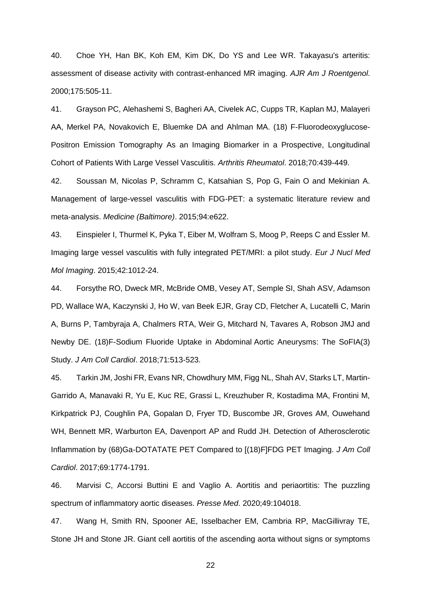40. Choe YH, Han BK, Koh EM, Kim DK, Do YS and Lee WR. Takayasu's arteritis: assessment of disease activity with contrast-enhanced MR imaging. *AJR Am J Roentgenol*. 2000;175:505-11.

41. Grayson PC, Alehashemi S, Bagheri AA, Civelek AC, Cupps TR, Kaplan MJ, Malayeri AA, Merkel PA, Novakovich E, Bluemke DA and Ahlman MA. (18) F-Fluorodeoxyglucose-Positron Emission Tomography As an Imaging Biomarker in a Prospective, Longitudinal Cohort of Patients With Large Vessel Vasculitis. *Arthritis Rheumatol*. 2018;70:439-449.

42. Soussan M, Nicolas P, Schramm C, Katsahian S, Pop G, Fain O and Mekinian A. Management of large-vessel vasculitis with FDG-PET: a systematic literature review and meta-analysis. *Medicine (Baltimore)*. 2015;94:e622.

43. Einspieler I, Thurmel K, Pyka T, Eiber M, Wolfram S, Moog P, Reeps C and Essler M. Imaging large vessel vasculitis with fully integrated PET/MRI: a pilot study. *Eur J Nucl Med Mol Imaging*. 2015;42:1012-24.

44. Forsythe RO, Dweck MR, McBride OMB, Vesey AT, Semple SI, Shah ASV, Adamson PD, Wallace WA, Kaczynski J, Ho W, van Beek EJR, Gray CD, Fletcher A, Lucatelli C, Marin A, Burns P, Tambyraja A, Chalmers RTA, Weir G, Mitchard N, Tavares A, Robson JMJ and Newby DE. (18)F-Sodium Fluoride Uptake in Abdominal Aortic Aneurysms: The SoFIA(3) Study. *J Am Coll Cardiol*. 2018;71:513-523.

45. Tarkin JM, Joshi FR, Evans NR, Chowdhury MM, Figg NL, Shah AV, Starks LT, Martin-Garrido A, Manavaki R, Yu E, Kuc RE, Grassi L, Kreuzhuber R, Kostadima MA, Frontini M, Kirkpatrick PJ, Coughlin PA, Gopalan D, Fryer TD, Buscombe JR, Groves AM, Ouwehand WH, Bennett MR, Warburton EA, Davenport AP and Rudd JH. Detection of Atherosclerotic Inflammation by (68)Ga-DOTATATE PET Compared to [(18)F]FDG PET Imaging. *J Am Coll Cardiol*. 2017;69:1774-1791.

46. Marvisi C, Accorsi Buttini E and Vaglio A. Aortitis and periaortitis: The puzzling spectrum of inflammatory aortic diseases. *Presse Med*. 2020;49:104018.

47. Wang H, Smith RN, Spooner AE, Isselbacher EM, Cambria RP, MacGillivray TE, Stone JH and Stone JR. Giant cell aortitis of the ascending aorta without signs or symptoms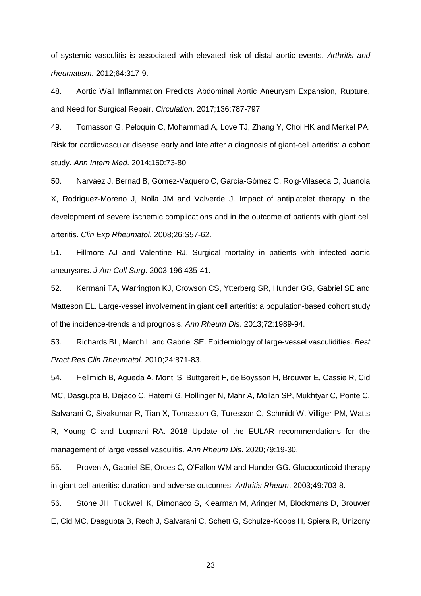of systemic vasculitis is associated with elevated risk of distal aortic events. *Arthritis and rheumatism*. 2012;64:317-9.

48. Aortic Wall Inflammation Predicts Abdominal Aortic Aneurysm Expansion, Rupture, and Need for Surgical Repair. *Circulation*. 2017;136:787-797.

49. Tomasson G, Peloquin C, Mohammad A, Love TJ, Zhang Y, Choi HK and Merkel PA. Risk for cardiovascular disease early and late after a diagnosis of giant-cell arteritis: a cohort study. *Ann Intern Med*. 2014;160:73-80.

50. Narváez J, Bernad B, Gómez-Vaquero C, García-Gómez C, Roig-Vilaseca D, Juanola X, Rodriguez-Moreno J, Nolla JM and Valverde J. Impact of antiplatelet therapy in the development of severe ischemic complications and in the outcome of patients with giant cell arteritis. *Clin Exp Rheumatol*. 2008;26:S57-62.

51. Fillmore AJ and Valentine RJ. Surgical mortality in patients with infected aortic aneurysms. *J Am Coll Surg*. 2003;196:435-41.

52. Kermani TA, Warrington KJ, Crowson CS, Ytterberg SR, Hunder GG, Gabriel SE and Matteson EL. Large-vessel involvement in giant cell arteritis: a population-based cohort study of the incidence-trends and prognosis. *Ann Rheum Dis*. 2013;72:1989-94.

53. Richards BL, March L and Gabriel SE. Epidemiology of large-vessel vasculidities. *Best Pract Res Clin Rheumatol*. 2010;24:871-83.

54. Hellmich B, Agueda A, Monti S, Buttgereit F, de Boysson H, Brouwer E, Cassie R, Cid MC, Dasgupta B, Dejaco C, Hatemi G, Hollinger N, Mahr A, Mollan SP, Mukhtyar C, Ponte C, Salvarani C, Sivakumar R, Tian X, Tomasson G, Turesson C, Schmidt W, Villiger PM, Watts R, Young C and Luqmani RA. 2018 Update of the EULAR recommendations for the management of large vessel vasculitis. *Ann Rheum Dis*. 2020;79:19-30.

55. Proven A, Gabriel SE, Orces C, O'Fallon WM and Hunder GG. Glucocorticoid therapy in giant cell arteritis: duration and adverse outcomes. *Arthritis Rheum*. 2003;49:703-8.

56. Stone JH, Tuckwell K, Dimonaco S, Klearman M, Aringer M, Blockmans D, Brouwer E, Cid MC, Dasgupta B, Rech J, Salvarani C, Schett G, Schulze-Koops H, Spiera R, Unizony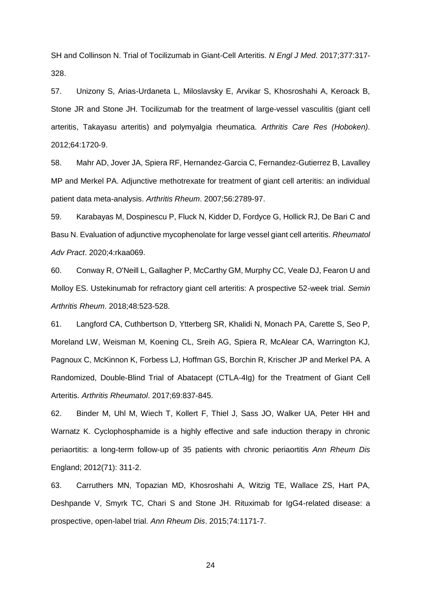SH and Collinson N. Trial of Tocilizumab in Giant-Cell Arteritis. *N Engl J Med*. 2017;377:317- 328.

57. Unizony S, Arias-Urdaneta L, Miloslavsky E, Arvikar S, Khosroshahi A, Keroack B, Stone JR and Stone JH. Tocilizumab for the treatment of large-vessel vasculitis (giant cell arteritis, Takayasu arteritis) and polymyalgia rheumatica. *Arthritis Care Res (Hoboken)*. 2012;64:1720-9.

58. Mahr AD, Jover JA, Spiera RF, Hernandez-Garcia C, Fernandez-Gutierrez B, Lavalley MP and Merkel PA. Adjunctive methotrexate for treatment of giant cell arteritis: an individual patient data meta-analysis. *Arthritis Rheum*. 2007;56:2789-97.

59. Karabayas M, Dospinescu P, Fluck N, Kidder D, Fordyce G, Hollick RJ, De Bari C and Basu N. Evaluation of adjunctive mycophenolate for large vessel giant cell arteritis. *Rheumatol Adv Pract*. 2020;4:rkaa069.

60. Conway R, O'Neill L, Gallagher P, McCarthy GM, Murphy CC, Veale DJ, Fearon U and Molloy ES. Ustekinumab for refractory giant cell arteritis: A prospective 52-week trial. *Semin Arthritis Rheum*. 2018;48:523-528.

61. Langford CA, Cuthbertson D, Ytterberg SR, Khalidi N, Monach PA, Carette S, Seo P, Moreland LW, Weisman M, Koening CL, Sreih AG, Spiera R, McAlear CA, Warrington KJ, Pagnoux C, McKinnon K, Forbess LJ, Hoffman GS, Borchin R, Krischer JP and Merkel PA. A Randomized, Double-Blind Trial of Abatacept (CTLA-4Ig) for the Treatment of Giant Cell Arteritis. *Arthritis Rheumatol*. 2017;69:837-845.

62. Binder M, Uhl M, Wiech T, Kollert F, Thiel J, Sass JO, Walker UA, Peter HH and Warnatz K. Cyclophosphamide is a highly effective and safe induction therapy in chronic periaortitis: a long-term follow-up of 35 patients with chronic periaortitis *Ann Rheum Dis* England; 2012(71): 311-2.

63. Carruthers MN, Topazian MD, Khosroshahi A, Witzig TE, Wallace ZS, Hart PA, Deshpande V, Smyrk TC, Chari S and Stone JH. Rituximab for IgG4-related disease: a prospective, open-label trial. *Ann Rheum Dis*. 2015;74:1171-7.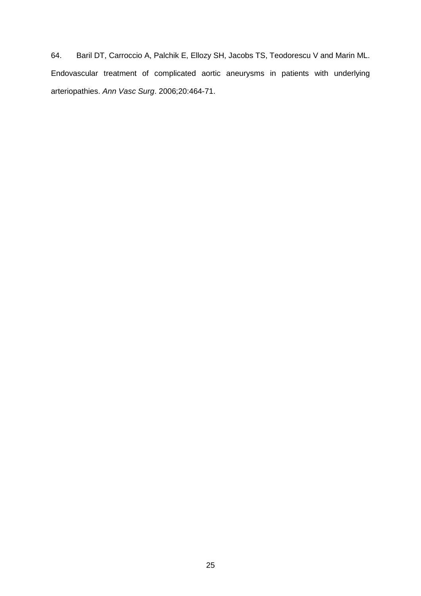64. Baril DT, Carroccio A, Palchik E, Ellozy SH, Jacobs TS, Teodorescu V and Marin ML. Endovascular treatment of complicated aortic aneurysms in patients with underlying arteriopathies. *Ann Vasc Surg*. 2006;20:464-71.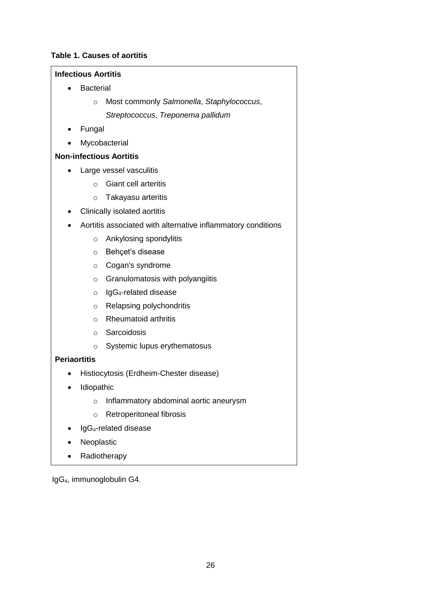# **Table 1. Causes of aortitis**

# **Infectious Aortitis**

- **•** Bacterial
	- o Most commonly *Salmonella*, *Staphylococcus*, *Streptococcus*, *Treponema pallidum*
- Fungal
- Mycobacterial

# **Non-infectious Aortitis**

- Large vessel vasculitis
	- o Giant cell arteritis
	- o Takayasu arteritis
- Clinically isolated aortitis
- Aortitis associated with alternative inflammatory conditions
	- o Ankylosing spondylitis
	- o Behçet's disease
	- o Cogan's syndrome
	- $\circ$  Granulomatosis with polyangiitis
	- $\circ$  IgG<sub>4</sub>-related disease
	- o Relapsing polychondritis
	- o Rheumatoid arthritis
	- o Sarcoidosis
	- o Systemic lupus erythematosus

# **Periaortitis**

- Histiocytosis (Erdheim-Chester disease)
- Idiopathic
	- o Inflammatory abdominal aortic aneurysm
	- o Retroperitoneal fibrosis
- IgG4-related disease
- Neoplastic
- Radiotherapy

IgG4, immunoglobulin G4.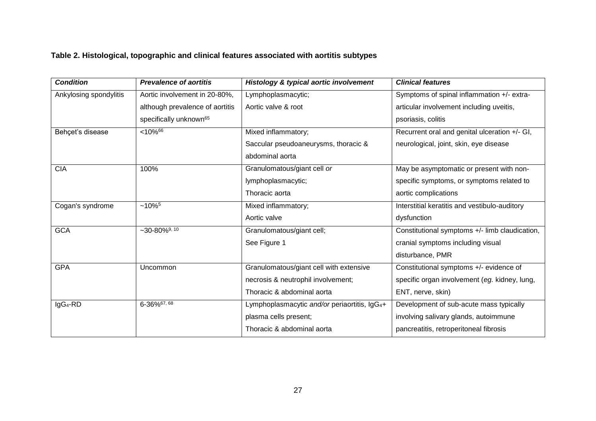# **Table 2. Histological, topographic and clinical features associated with aortitis subtypes**

| <b>Condition</b>       | <b>Prevalence of aortitis</b>      | Histology & typical aortic involvement                    | <b>Clinical features</b>                       |
|------------------------|------------------------------------|-----------------------------------------------------------|------------------------------------------------|
| Ankylosing spondylitis | Aortic involvement in 20-80%,      | Lymphoplasmacytic;                                        | Symptoms of spinal inflammation +/- extra-     |
|                        | although prevalence of aortitis    | Aortic valve & root                                       | articular involvement including uveitis,       |
|                        | specifically unknown <sup>65</sup> |                                                           | psoriasis, colitis                             |
| Behçet's disease       | $< 10\sqrt[6]{66}$                 | Mixed inflammatory;                                       | Recurrent oral and genital ulceration +/- GI,  |
|                        |                                    | Saccular pseudoaneurysms, thoracic &                      | neurological, joint, skin, eye disease         |
|                        |                                    | abdominal aorta                                           |                                                |
| <b>CIA</b>             | 100%                               | Granulomatous/giant cell or                               | May be asymptomatic or present with non-       |
|                        |                                    | lymphoplasmacytic;                                        | specific symptoms, or symptoms related to      |
|                        |                                    | Thoracic aorta                                            | aortic complications                           |
| Cogan's syndrome       | $~10\%$ <sup>5</sup>               | Mixed inflammatory;                                       | Interstitial keratitis and vestibulo-auditory  |
|                        |                                    | Aortic valve                                              | dysfunction                                    |
| <b>GCA</b>             | $-30 - 80\%$ <sup>9, 10</sup>      | Granulomatous/giant cell;                                 | Constitutional symptoms +/- limb claudication, |
|                        |                                    | See Figure 1                                              | cranial symptoms including visual              |
|                        |                                    |                                                           | disturbance, PMR                               |
| <b>GPA</b>             | Uncommon                           | Granulomatous/giant cell with extensive                   | Constitutional symptoms +/- evidence of        |
|                        |                                    | necrosis & neutrophil involvement;                        | specific organ involvement (eg. kidney, lung,  |
|                        |                                    | Thoracic & abdominal aorta                                | ENT, nerve, skin)                              |
| IgG <sub>4</sub> -RD   | $6 - 36\%$ <sup>67, 68</sup>       | Lymphoplasmacytic and/or periaortitis, IgG <sub>4</sub> + | Development of sub-acute mass typically        |
|                        |                                    | plasma cells present;                                     | involving salivary glands, autoimmune          |
|                        |                                    | Thoracic & abdominal aorta                                | pancreatitis, retroperitoneal fibrosis         |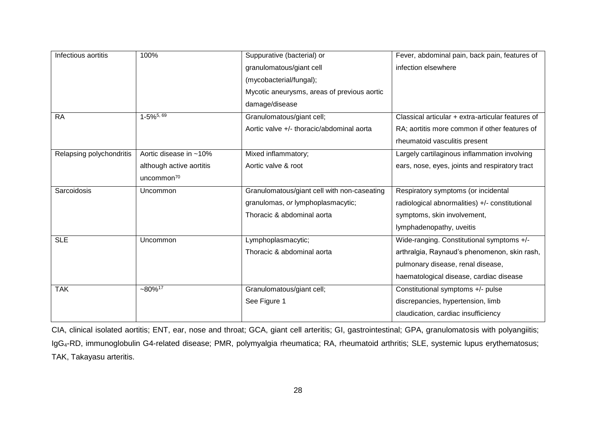| Infectious aortitis      | 100%                     | Suppurative (bacterial) or                  | Fever, abdominal pain, back pain, features of     |
|--------------------------|--------------------------|---------------------------------------------|---------------------------------------------------|
|                          |                          | granulomatous/giant cell                    | infection elsewhere                               |
|                          |                          | (mycobacterial/fungal);                     |                                                   |
|                          |                          | Mycotic aneurysms, areas of previous aortic |                                                   |
|                          |                          | damage/disease                              |                                                   |
| <b>RA</b>                | $1-5\%$ <sup>5, 69</sup> | Granulomatous/giant cell;                   | Classical articular + extra-articular features of |
|                          |                          | Aortic valve +/- thoracic/abdominal aorta   | RA; aortitis more common if other features of     |
|                          |                          |                                             | rheumatoid vasculitis present                     |
| Relapsing polychondritis | Aortic disease in ~10%   | Mixed inflammatory;                         | Largely cartilaginous inflammation involving      |
|                          | although active aortitis | Aortic valve & root                         | ears, nose, eyes, joints and respiratory tract    |
|                          | uncommon <sup>70</sup>   |                                             |                                                   |
| Sarcoidosis              | Uncommon                 | Granulomatous/giant cell with non-caseating | Respiratory symptoms (or incidental               |
|                          |                          | granulomas, or lymphoplasmacytic;           | radiological abnormalities) +/- constitutional    |
|                          |                          | Thoracic & abdominal aorta                  | symptoms, skin involvement,                       |
|                          |                          |                                             | lymphadenopathy, uveitis                          |
| <b>SLE</b>               | Uncommon                 | Lymphoplasmacytic;                          | Wide-ranging. Constitutional symptoms +/-         |
|                          |                          | Thoracic & abdominal aorta                  | arthralgia, Raynaud's phenomenon, skin rash,      |
|                          |                          |                                             | pulmonary disease, renal disease,                 |
|                          |                          |                                             | haematological disease, cardiac disease           |
| <b>TAK</b>               | $-80\%$ <sup>17</sup>    | Granulomatous/giant cell;                   | Constitutional symptoms +/- pulse                 |
|                          |                          | See Figure 1                                | discrepancies, hypertension, limb                 |
|                          |                          |                                             | claudication, cardiac insufficiency               |
|                          |                          |                                             |                                                   |

CIA, clinical isolated aortitis; ENT, ear, nose and throat; GCA, giant cell arteritis; GI, gastrointestinal; GPA, granulomatosis with polyangiitis; IgG4-RD, immunoglobulin G4-related disease; PMR, polymyalgia rheumatica; RA, rheumatoid arthritis; SLE, systemic lupus erythematosus; TAK, Takayasu arteritis.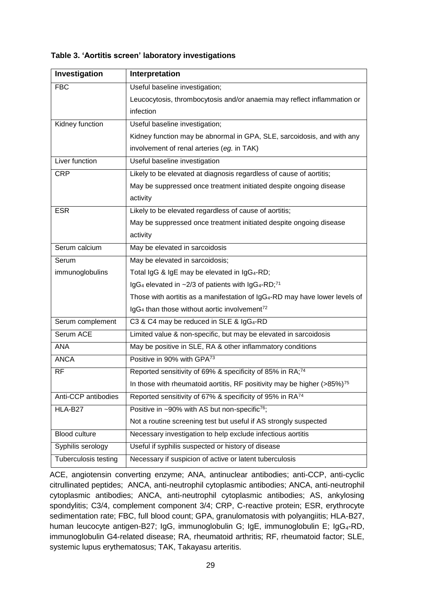| Investigation        | Interpretation                                                                               |  |
|----------------------|----------------------------------------------------------------------------------------------|--|
| <b>FBC</b>           | Useful baseline investigation;                                                               |  |
|                      | Leucocytosis, thrombocytosis and/or anaemia may reflect inflammation or                      |  |
|                      | infection                                                                                    |  |
| Kidney function      | Useful baseline investigation;                                                               |  |
|                      | Kidney function may be abnormal in GPA, SLE, sarcoidosis, and with any                       |  |
|                      | involvement of renal arteries (eg. in TAK)                                                   |  |
| Liver function       | Useful baseline investigation                                                                |  |
| <b>CRP</b>           | Likely to be elevated at diagnosis regardless of cause of aortitis;                          |  |
|                      | May be suppressed once treatment initiated despite ongoing disease                           |  |
|                      | activity                                                                                     |  |
| <b>ESR</b>           | Likely to be elevated regardless of cause of aortitis;                                       |  |
|                      | May be suppressed once treatment initiated despite ongoing disease                           |  |
|                      | activity                                                                                     |  |
| Serum calcium        | May be elevated in sarcoidosis                                                               |  |
| Serum                | May be elevated in sarcoidosis;                                                              |  |
| immunoglobulins      | Total IgG & IgE may be elevated in IgG <sub>4</sub> -RD;                                     |  |
|                      | IgG <sub>4</sub> elevated in $\sim$ 2/3 of patients with IgG <sub>4</sub> -RD; <sup>71</sup> |  |
|                      | Those with aortitis as a manifestation of IgG <sub>4</sub> -RD may have lower levels of      |  |
|                      | IgG <sub>4</sub> than those without aortic involvement <sup>72</sup>                         |  |
| Serum complement     | C3 & C4 may be reduced in SLE & IgG <sub>4</sub> -RD                                         |  |
| Serum ACE            | Limited value & non-specific, but may be elevated in sarcoidosis                             |  |
| <b>ANA</b>           | May be positive in SLE, RA & other inflammatory conditions                                   |  |
| <b>ANCA</b>          | Positive in 90% with GPA73                                                                   |  |
| <b>RF</b>            | Reported sensitivity of 69% & specificity of 85% in RA;74                                    |  |
|                      | In those with rheumatoid aortitis, RF positivity may be higher $($ >85%) <sup>75</sup>       |  |
| Anti-CCP antibodies  | Reported sensitivity of 67% & specificity of 95% in RA74                                     |  |
| HLA-B27              | Positive in ~90% with AS but non-specific <sup>76</sup> ;                                    |  |
|                      | Not a routine screening test but useful if AS strongly suspected                             |  |
| Blood culture        | Necessary investigation to help exclude infectious aortitis                                  |  |
| Syphilis serology    | Useful if syphilis suspected or history of disease                                           |  |
| Tuberculosis testing | Necessary if suspicion of active or latent tuberculosis                                      |  |

**Table 3. 'Aortitis screen' laboratory investigations**

ACE, angiotensin converting enzyme; ANA, antinuclear antibodies; anti-CCP, anti-cyclic citrullinated peptides; ANCA, anti-neutrophil cytoplasmic antibodies; ANCA, anti-neutrophil cytoplasmic antibodies; ANCA, anti-neutrophil cytoplasmic antibodies; AS, ankylosing spondylitis; C3/4, complement component 3/4; CRP, C-reactive protein; ESR, erythrocyte sedimentation rate; FBC, full blood count; GPA, granulomatosis with polyangiitis; HLA-B27, human leucocyte antigen-B27; IgG, immunoglobulin G; IgE, immunoglobulin E; IgG<sub>4</sub>-RD, immunoglobulin G4-related disease; RA, rheumatoid arthritis; RF, rheumatoid factor; SLE, systemic lupus erythematosus; TAK, Takayasu arteritis.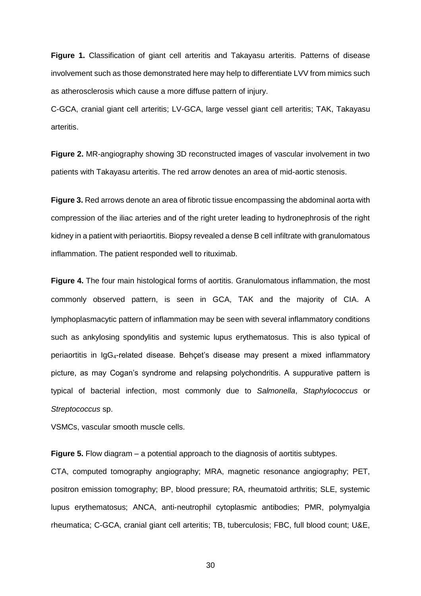**Figure 1.** Classification of giant cell arteritis and Takayasu arteritis. Patterns of disease involvement such as those demonstrated here may help to differentiate LVV from mimics such as atherosclerosis which cause a more diffuse pattern of injury.

C-GCA, cranial giant cell arteritis; LV-GCA, large vessel giant cell arteritis; TAK, Takayasu arteritis.

**Figure 2.** MR-angiography showing 3D reconstructed images of vascular involvement in two patients with Takayasu arteritis. The red arrow denotes an area of mid-aortic stenosis.

**Figure 3.** Red arrows denote an area of fibrotic tissue encompassing the abdominal aorta with compression of the iliac arteries and of the right ureter leading to hydronephrosis of the right kidney in a patient with periaortitis. Biopsy revealed a dense B cell infiltrate with granulomatous inflammation. The patient responded well to rituximab.

**Figure 4.** The four main histological forms of aortitis. Granulomatous inflammation, the most commonly observed pattern, is seen in GCA, TAK and the majority of CIA. A lymphoplasmacytic pattern of inflammation may be seen with several inflammatory conditions such as ankylosing spondylitis and systemic lupus erythematosus. This is also typical of periaortitis in IgG4-related disease. Behçet's disease may present a mixed inflammatory picture, as may Cogan's syndrome and relapsing polychondritis. A suppurative pattern is typical of bacterial infection, most commonly due to *Salmonella*, *Staphylococcus* or *Streptococcus* sp.

VSMCs, vascular smooth muscle cells.

**Figure 5.** Flow diagram – a potential approach to the diagnosis of aortitis subtypes.

CTA, computed tomography angiography; MRA, magnetic resonance angiography; PET, positron emission tomography; BP, blood pressure; RA, rheumatoid arthritis; SLE, systemic lupus erythematosus; ANCA, anti-neutrophil cytoplasmic antibodies; PMR, polymyalgia rheumatica; C-GCA, cranial giant cell arteritis; TB, tuberculosis; FBC, full blood count; U&E,